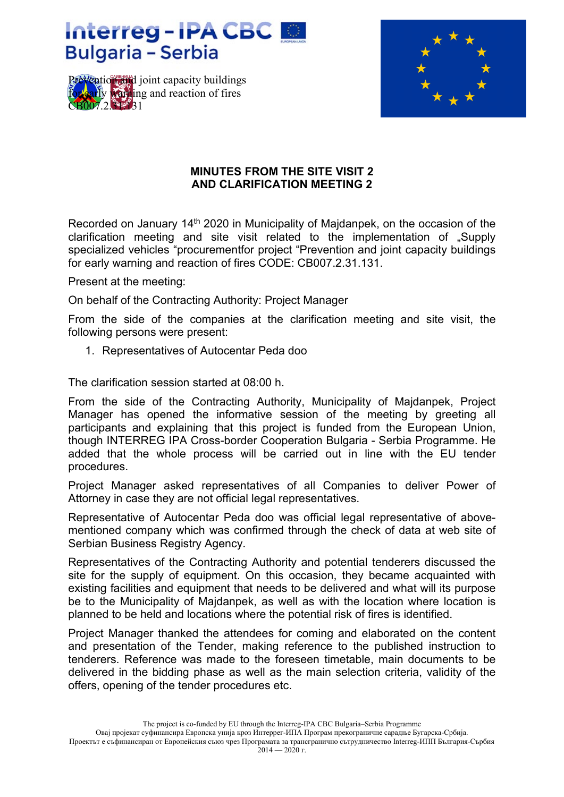## Interreg-IPA CBC **Bulgaria - Serbia**





## **MINUTES FROM THE SITE VISIT 2 AND CLARIFICATION MEETING 2**

Recorded on January 14<sup>th</sup> 2020 in Municipality of Majdanpek, on the occasion of the clarification meeting and site visit related to the implementation of "Supply specialized vehicles "procurementfor project "Prevention and joint capacity buildings for early warning and reaction of fires CODE: CB007.2.31.131.

Present at the meeting:

On behalf of the Contracting Authority: Project Manager

From the side of the companies at the clarification meeting and site visit, the following persons were present:

1. Representatives of Autocentar Peda doo

The clarification session started at 08:00 h.

From the side of the Contracting Authority, Municipality of Majdanpek, Project Manager has opened the informative session of the meeting by greeting all participants and explaining that this project is funded from the European Union, though INTERREG IPA Cross-border Cooperation Bulgaria - Serbia Programme. He added that the whole process will be carried out in line with the EU tender procedures.

Project Manager asked representatives of all Companies to deliver Power of Attorney in case they are not official legal representatives.

Representative of Autocentar Peda doo was official legal representative of abovementioned company which was confirmed through the check of data at web site of Serbian Business Registry Agency.

Representatives of the Contracting Authority and potential tenderers discussed the site for the supply of equipment. On this occasion, they became acquainted with existing facilities and equipment that needs to be delivered and what will its purpose be to the Municipality of Majdanpek, as well as with the location where location is planned to be held and locations where the potential risk of fires is identified.

Project Manager thanked the attendees for coming and elaborated on the content and presentation of the Tender, making reference to the published instruction to tenderers. Reference was made to the foreseen timetable, main documents to be delivered in the bidding phase as well as the main selection criteria, validity of the offers, opening of the tender procedures etc.